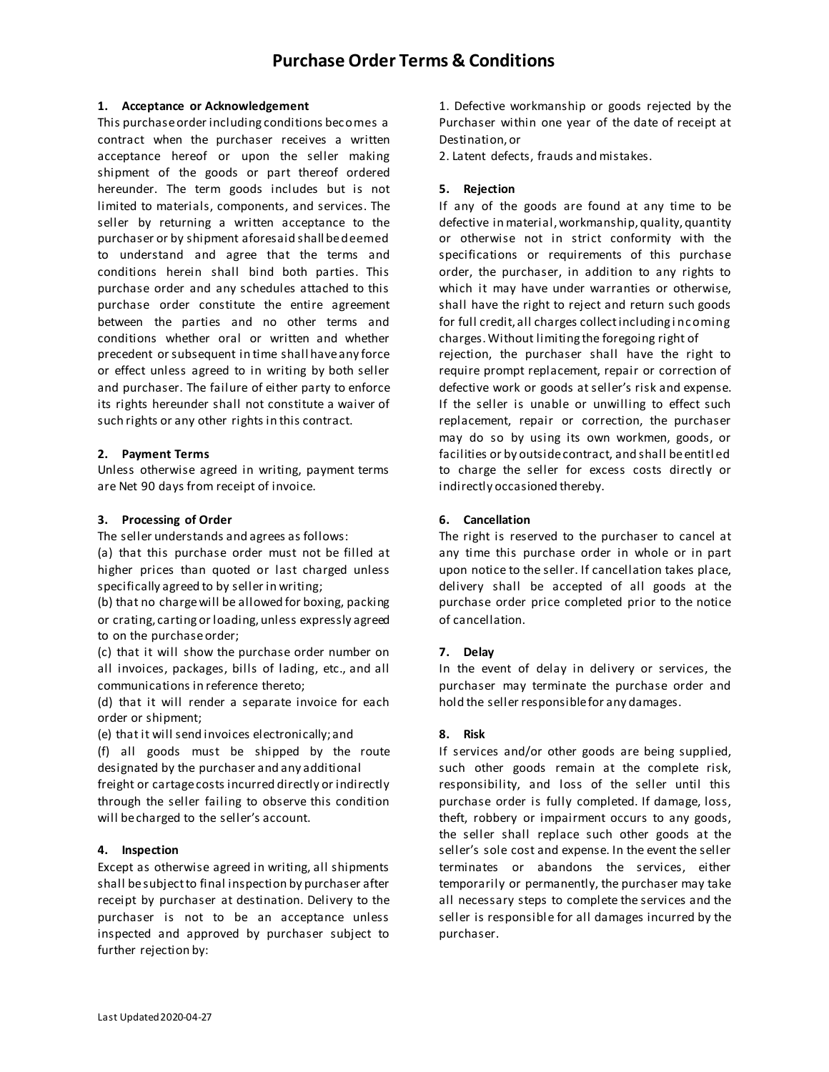## **1. Acceptance or Acknowledgement**

This purchase order including conditions bec omes a contract when the purchaser receives a written acceptance hereof or upon the seller making shipment of the goods or part thereof ordered hereunder. The term goods includes but is not limited to materials, components, and services. The seller by returning a written acceptance to the purchaser or by shipment aforesaid shall be deemed to understand and agree that the terms and conditions herein shall bind both parties. This purchase order and any schedules attached to this purchase order constitute the entire agreement between the parties and no other terms and conditions whether oral or written and whether precedent or subsequent in time shall have any force or effect unless agreed to in writing by both seller and purchaser. The failure of either party to enforce its rights hereunder shall not constitute a waiver of such rights or any other rights in this contract.

## **2. Payment Terms**

Unless otherwise agreed in writing, payment terms are Net 90 days from receipt of invoice.

## **3. Processing of Order**

The seller understands and agrees as follows:

(a) that this purchase order must not be filled at higher prices than quoted or last charged unless specifically agreed to by seller in writing;

(b) that no charge will be allowed for boxing, packing or crating, carting or loading, unless expressly agreed to on the purchase order;

(c) that it will show the purchase order number on all invoices, packages, bills of lading, etc., and all communications in reference thereto;

(d) that it will render a separate invoice for each order or shipment;

(e) that it will send invoices electronically;and

(f) all goods must be shipped by the route designated by the purchaser and any additional

freight or cartage costs incurred directly or indirectly through the seller failing to observe this condition will be charged to the seller's account.

# **4. Inspection**

Except as otherwise agreed in writing, all shipments shall be subject to final inspection by purchaser after receipt by purchaser at destination. Delivery to the purchaser is not to be an acceptance unless inspected and approved by purchaser subject to further rejection by:

1. Defective workmanship or goods rejected by the Purchaser within one year of the date of receipt at Destination, or

2. Latent defects, frauds and mistakes.

## **5. Rejection**

If any of the goods are found at any time to be defective in material, workmanship, quality, quantity or otherwise not in strict conformity with the specifications or requirements of this purchase order, the purchaser, in addition to any rights to which it may have under warranties or otherwise, shall have the right to reject and return such goods for full credit, all charges collect including i nc oming charges. Without limiting the foregoing right of rejection, the purchaser shall have the right to require prompt replacement, repair or correction of defective work or goods at seller's risk and expense. If the seller is unable or unwilling to effect such replacement, repair or correction, the purchaser may do so by using its own workmen, goods, or facilities or by outside contract, and shall be entitl ed to charge the seller for excess costs directly or indirectly occasioned thereby.

## **6. Cancellation**

The right is reserved to the purchaser to cancel at any time this purchase order in whole or in part upon notice to the seller. If cancellation takes place, delivery shall be accepted of all goods at the purchase order price completed prior to the notice of cancellation.

# **7. Delay**

In the event of delay in delivery or services, the purchaser may terminate the purchase order and hold the seller responsible for any damages.

# **8. Risk**

If services and/or other goods are being supplied, such other goods remain at the complete risk, responsibility, and loss of the seller until this purchase order is fully completed. If damage, loss, theft, robbery or impairment occurs to any goods, the seller shall replace such other goods at the seller's sole cost and expense. In the event the seller terminates or abandons the services, either temporarily or permanently, the purchaser may take all necessary steps to complete the services and the seller is responsible for all damages incurred by the purchaser.